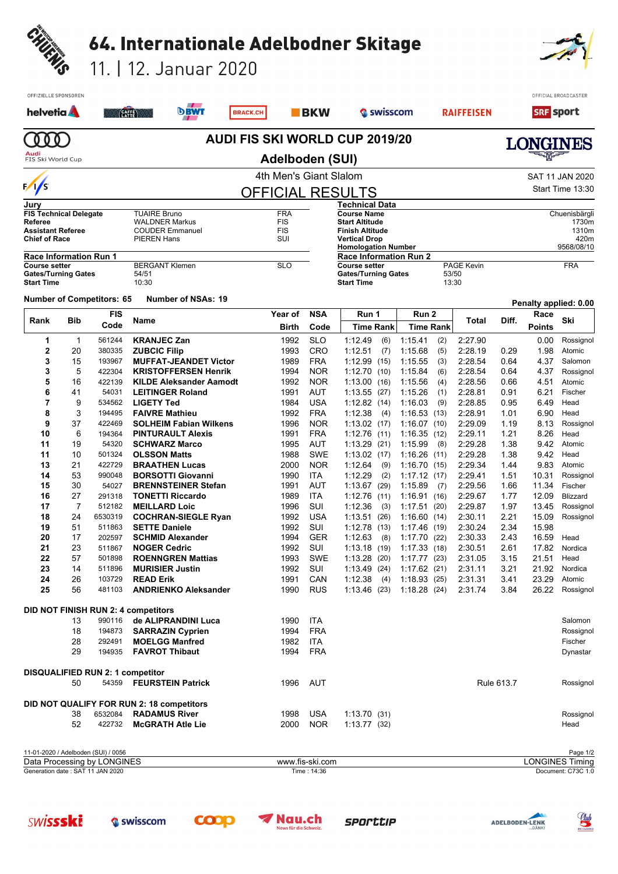| CHUENIS                                    |                               |                                            |                                           |                                                                   |                                |                          |                                                             |                  |                            |            |                    |              |                  |                       |
|--------------------------------------------|-------------------------------|--------------------------------------------|-------------------------------------------|-------------------------------------------------------------------|--------------------------------|--------------------------|-------------------------------------------------------------|------------------|----------------------------|------------|--------------------|--------------|------------------|-----------------------|
|                                            |                               |                                            |                                           | 64. Internationale Adelbodner Skitage                             |                                |                          |                                                             |                  |                            |            |                    |              |                  |                       |
|                                            |                               |                                            |                                           | 11.   12. Januar 2020                                             |                                |                          |                                                             |                  |                            |            |                    |              |                  |                       |
|                                            | OFFIZIELLE SPONSOREN          |                                            |                                           |                                                                   |                                |                          |                                                             |                  |                            |            |                    |              |                  | OFFICIAL BROADCASTER  |
| helvetia <b>A</b>                          |                               |                                            | (CAFFE)                                   | <b>DBWT</b>                                                       | <b>BRACK.CH</b>                | <b>BKW</b>               |                                                             | Swisscom         |                            |            | <b>RAIFFEISEN</b>  |              | <b>SRF</b> sport |                       |
| 0 <sub>0</sub>                             |                               |                                            |                                           |                                                                   | AUDI FIS SKI WORLD CUP 2019/20 |                          |                                                             |                  |                            |            |                    |              | <b>LONGINES</b>  |                       |
| Audi<br>FIS Ski World Cup                  |                               |                                            |                                           |                                                                   | Adelboden (SUI)                |                          |                                                             |                  |                            |            |                    |              |                  |                       |
| $\frac{1}{5}$                              |                               |                                            |                                           |                                                                   | 4th Men's Giant Slalom         |                          |                                                             |                  |                            |            |                    |              |                  | SAT 11 JAN 2020       |
|                                            |                               |                                            |                                           |                                                                   | <b>OFFICIAL RESULTS</b>        |                          | Technical Data                                              |                  |                            |            |                    |              |                  | Start Time 13:30      |
| Jury                                       | <b>FIS Technical Delegate</b> |                                            | <b>TUAIRE Bruno</b>                       |                                                                   | <b>FRA</b>                     |                          | <b>Course Name</b>                                          |                  |                            |            |                    |              |                  | Chuenisbärgli         |
| <b>Referee</b><br><b>Assistant Referee</b> |                               |                                            |                                           | <b>WALDNER Markus</b><br><b>COUDER Emmanuel</b>                   | <b>FIS</b><br><b>FIS</b>       |                          | <b>Start Altitude</b><br><b>Finish Altitude</b>             |                  |                            |            |                    |              |                  | 1730m<br>1310m        |
| <b>Chief of Race</b>                       |                               |                                            | <b>PIEREN Hans</b>                        |                                                                   | SUI                            |                          | <b>Vertical Drop</b>                                        |                  |                            |            |                    |              |                  | 420m                  |
|                                            | <b>Race Information Run 1</b> |                                            |                                           |                                                                   |                                |                          | <b>Homologation Number</b><br><b>Race Information Run 2</b> |                  |                            |            |                    |              |                  | 9568/08/10            |
| <b>Course setter</b>                       | <b>Gates/Turning Gates</b>    |                                            | 54/51                                     | <b>BERGANT Klemen</b>                                             | <b>SLO</b>                     |                          | <b>Course setter</b><br><b>Gates/Turning Gates</b>          |                  |                            | 53/50      | <b>PAGE Kevin</b>  |              |                  | <b>FRA</b>            |
| <b>Start Time</b>                          |                               |                                            | 10:30                                     |                                                                   |                                |                          | <b>Start Time</b>                                           |                  |                            | 13:30      |                    |              |                  |                       |
|                                            |                               | <b>Number of Competitors: 65</b>           |                                           | <b>Number of NSAs: 19</b>                                         |                                |                          |                                                             |                  |                            |            |                    |              |                  | Penalty applied: 0.00 |
| Rank                                       |                               | <b>FIS</b>                                 |                                           |                                                                   | Year of                        | <b>NSA</b>               | Run 1                                                       |                  | Run 2                      |            | Total              | Diff.        | Race             | Ski                   |
|                                            | Bib                           | Code                                       | Name                                      |                                                                   | Birth                          | Code                     |                                                             | <b>Time Rank</b> | <b>Time Rank</b>           |            |                    |              | <b>Points</b>    |                       |
| 1<br>2                                     | -1<br>20                      | 561244<br>380335                           | <b>KRANJEC Zan</b><br><b>ZUBCIC Filip</b> |                                                                   | 1992<br>1993                   | <b>SLO</b><br>CRO        | 1:12.49<br>1:12.51                                          | (6)<br>(7)       | 1:15.41<br>1:15.68         | (2)<br>(5) | 2:27.90<br>2:28.19 | 0.29         | 0.00<br>1.98     | Rossignol<br>Atomic   |
| 3                                          | 15                            | 193967                                     |                                           | <b>MUFFAT-JEANDET Victor</b>                                      | 1989                           | <b>FRA</b>               | 1:12.99                                                     | (15)             | 1:15.55                    | (3)        | 2:28.54            | 0.64         | 4.37             | Salomon               |
| 3                                          | 5                             | 422304                                     |                                           | <b>KRISTOFFERSEN Henrik</b>                                       | 1994                           | <b>NOR</b>               | 1:12.70                                                     | (10)             | 1:15.84                    | (6)        | 2:28.54            | 0.64         | 4.37             | Rossignol             |
| 5                                          | 16                            | 422139                                     |                                           | <b>KILDE Aleksander Aamodt</b>                                    | 1992                           | <b>NOR</b>               | 1:13.00                                                     | (16)             | 1:15.56                    | (4)        | 2:28.56            | 0.66         | 4.51             | Atomic                |
| 6<br>7                                     | 41<br>9                       | 54031<br>534562                            | <b>LIGETY Ted</b>                         | <b>LEITINGER Roland</b>                                           | 1991<br>1984                   | AUT<br><b>USA</b>        | 1:13.55<br>1:12.82(14)                                      | (27)             | 1:15.26<br>1:16.03         | (1)<br>(9) | 2:28.81<br>2:28.85 | 0.91<br>0.95 | 6.21<br>6.49     | Fischer<br>Head       |
| 8                                          | 3                             | 194495                                     |                                           | <b>FAIVRE Mathieu</b>                                             | 1992                           | <b>FRA</b>               | 1:12.38                                                     | (4)              | 1:16.53(13)                |            | 2:28.91            | 1.01         | 6.90             | Head                  |
| 9                                          | 37                            | 422469                                     |                                           | <b>SOLHEIM Fabian Wilkens</b>                                     | 1996                           | <b>NOR</b>               | 1:13.02                                                     | (17)             | 1:16.07(10)                |            | 2:29.09            | 1.19         | 8.13             | Rossignol             |
| 10                                         | 6                             | 194364                                     |                                           | <b>PINTURAULT Alexis</b>                                          | 1991                           | <b>FRA</b>               | 1:12.76                                                     | (11)             | 1:16.35(12)                |            | 2:29.11            | 1.21         | 8.26             | Head                  |
| 11<br>11                                   | 19<br>10                      | 54320<br>501324                            | <b>OLSSON Matts</b>                       | <b>SCHWARZ Marco</b>                                              | 1995<br>1988                   | AUT<br><b>SWE</b>        | 1:13.29<br>1:13.02                                          | (21)<br>(17)     | 1:15.99<br>1:16.26(11)     | (8)        | 2:29.28<br>2:29.28 | 1.38<br>1.38 | 9.42<br>9.42     | Atomic<br>Head        |
| 13                                         | 21                            | 422729                                     |                                           | <b>BRAATHEN Lucas</b>                                             | 2000                           | <b>NOR</b>               | 1:12.64                                                     | (9)              | 1:16.70(15)                |            | 2:29.34            | 1.44         | 9.83             | Atomic                |
| 14                                         | 53                            | 990048                                     |                                           | <b>BORSOTTI Giovanni</b>                                          | 1990                           | ITA                      | 1:12.29                                                     | (2)              | 1:17.12(17)                |            | 2:29.41            | 1.51         | 10.31            | Rossignol             |
| 15                                         | 30                            | 54027                                      |                                           | <b>BRENNSTEINER Stefan</b>                                        | 1991                           | AUT                      | 1:13.67(29)                                                 |                  | $1:15.89$ (7)              |            | 2:29.56            | 1.66         | 11.34            | Fischer<br>Blizzard   |
| 16<br>17                                   | 27<br>7                       | 291318<br>512182                           |                                           | <b>TONETTI Riccardo</b><br><b>MEILLARD Loic</b>                   | 1989<br>1996                   | ITA<br>SUI               | 1:12.76(11)<br>1:12.36                                      | (3)              | 1.16.91(16)<br>1:17.51(20) |            | 2:29.67<br>2:29.87 | 1.77<br>1.97 | 12.09<br>13.45   | Rossignol             |
| 18                                         | 24                            | 6530319                                    |                                           | <b>COCHRAN-SIEGLE Ryan</b>                                        | 1992                           | <b>USA</b>               | 1:13.51(26)                                                 |                  | 1:16.60(14)                |            | 2:30.11            | 2.21         | 15.09            | Rossignol             |
| 19                                         | 51                            | 511863                                     | <b>SETTE Daniele</b>                      |                                                                   | 1992                           | SUI                      | 1:12.78(13)                                                 |                  | 1:17.46(19)                |            | 2:30.24            | 2.34         | 15.98            |                       |
| 20<br>21                                   | 17<br>23                      | 202597<br>511867                           | <b>NOGER Cedric</b>                       | <b>SCHMID Alexander</b>                                           | 1994<br>1992                   | <b>GER</b><br>SUI        | 1:12.63<br>1:13.18(19)                                      | (8)              | 1:17.70(22)<br>1:17.33(18) |            | 2:30.33<br>2:30.51 | 2.43<br>2.61 | 16.59<br>17.82   | Head<br>Nordica       |
| 22                                         | 57                            | 501898                                     |                                           | <b>ROENNGREN Mattias</b>                                          | 1993                           | SWE                      | 1:13.28                                                     | (20)             | 1:17.77(23)                |            | 2:31.05            | 3.15         | 21.51            | Head                  |
| 23                                         | 14                            | 511896                                     |                                           | <b>MURISIER Justin</b>                                            | 1992                           | SUI                      | 1:13.49 (24)                                                |                  | 1:17.62(21)                |            | 2:31.11            | 3.21         | 21.92            | Nordica               |
| 24                                         | 26                            | 103729                                     | <b>READ Erik</b>                          |                                                                   | 1991                           | CAN                      | 1:12.38                                                     | (4)              | 1:18.93(25)                |            | 2:31.31            | 3.41         | 23.29            | Atomic                |
| 25                                         | 56                            | 481103                                     |                                           | <b>ANDRIENKO Aleksander</b>                                       | 1990                           | <b>RUS</b>               | 1.13.46(23)                                                 |                  | 1:18.28(24)                |            | 2:31.74            | 3.84         | 26.22            | Rossignol             |
|                                            |                               | <b>DID NOT FINISH RUN 2: 4 competitors</b> |                                           |                                                                   |                                |                          |                                                             |                  |                            |            |                    |              |                  |                       |
|                                            | 13<br>18                      | 990116                                     |                                           | de ALIPRANDINI Luca                                               | 1990<br>1994                   | <b>ITA</b><br><b>FRA</b> |                                                             |                  |                            |            |                    |              |                  | Salomon               |
|                                            | 28                            | 194873<br>292491                           |                                           | <b>SARRAZIN Cyprien</b><br><b>MOELGG Manfred</b>                  | 1982                           | ITA                      |                                                             |                  |                            |            |                    |              |                  | Rossignol<br>Fischer  |
|                                            | 29                            | 194935                                     |                                           | <b>FAVROT Thibaut</b>                                             | 1994                           | <b>FRA</b>               |                                                             |                  |                            |            |                    |              |                  | Dynastar              |
|                                            |                               | <b>DISQUALIFIED RUN 2: 1 competitor</b>    |                                           |                                                                   |                                |                          |                                                             |                  |                            |            |                    |              |                  |                       |
|                                            | 50                            | 54359                                      |                                           | <b>FEURSTEIN Patrick</b>                                          | 1996                           | AUT                      |                                                             |                  |                            |            |                    | Rule 613.7   |                  | Rossignol             |
|                                            |                               |                                            |                                           |                                                                   |                                |                          |                                                             |                  |                            |            |                    |              |                  |                       |
|                                            | 38                            | 6532084                                    |                                           | DID NOT QUALIFY FOR RUN 2: 18 competitors<br><b>RADAMUS River</b> | 1998                           | <b>USA</b>               | 1:13.70(31)                                                 |                  |                            |            |                    |              |                  | Rossignol             |
|                                            | 52                            | 422732                                     |                                           | <b>McGRATH Atle Lie</b>                                           | 2000                           | <b>NOR</b>               | $1:13.77$ (32)                                              |                  |                            |            |                    |              |                  | Head                  |
|                                            |                               |                                            |                                           |                                                                   |                                |                          |                                                             |                  |                            |            |                    |              |                  |                       |

11-01-2020 / Adelboden (SUI) / 0056 Page 1/2 Generation date : SAT 11 JAN 2020 Time : 14:36 Document: C73C 1.0 Data Processing by LONGINES www.fis-ski.com LONGINES Timing

**SWİSSSKİ**